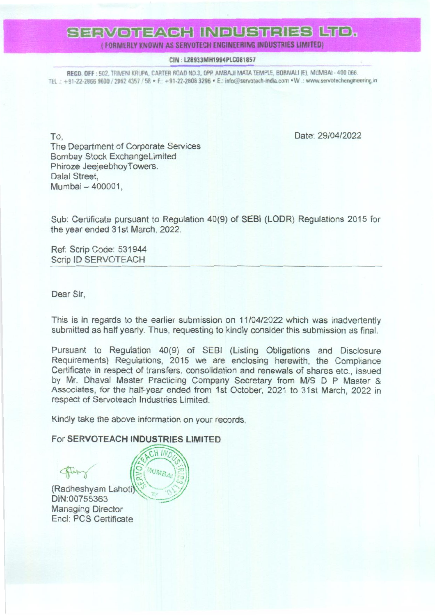## SERVOTEACH INDUSTRIES LTD.

(FORMERLY KNOWN AS SERVOTECH ENGINEERING INDUSTRIES LIMITED)

#### CIN: L28933MH1994PLC081857

REGD. OFF: 502, TRIVENI KRUPA, CARTER ROAD NO.3, OPP. AMBAJI MATA TEMPLE, BORIVALI (E), MUMBAI - 400 066. TEL: +91-22-2866 9600 / 2862 4357 / 58 · F: +91-22-2808 3296 · E: info@servatech-india.com · W .: www.servatechengineering.in

To. The Department of Corporate Services **Bombay Stock ExchangeLimited** Phiroze JeejeebhoyTowers. Dalal Street. Mumbai - 400001,

Date: 29/04/2022

Sub: Certificate pursuant to Regulation 40(9) of SEBI (LODR) Regulations 2015 for the year ended 31st March, 2022.

Ref: Scrip Code: 531944 Scrip ID SERVOTEACH

Dear Sir,

This is in regards to the earlier submission on 11/04/2022 which was inadvertently submitted as half yearly. Thus, requesting to kindly consider this submission as final.

Pursuant to Regulation 40(9) of SEBI (Listing Obligations and Disclosure Requirements) Regulations, 2015 we are enclosing herewith, the Compliance Certificate in respect of transfers, consolidation and renewals of shares etc., issued by Mr. Dhaval Master Practicing Company Secretary from M/S D P Master & Associates, for the half-year ended from 1st October, 2021 to 31st March, 2022 in respect of Servoteach Industries Limited.

Kindly take the above information on your records,

 $CHIM$ 

MUMBAI

For SERVOTEACH INDUSTRIES LIMITED

(Radheshyam Lahoti)

DIN:00755363 **Managing Director** Encl: PCS Certificate